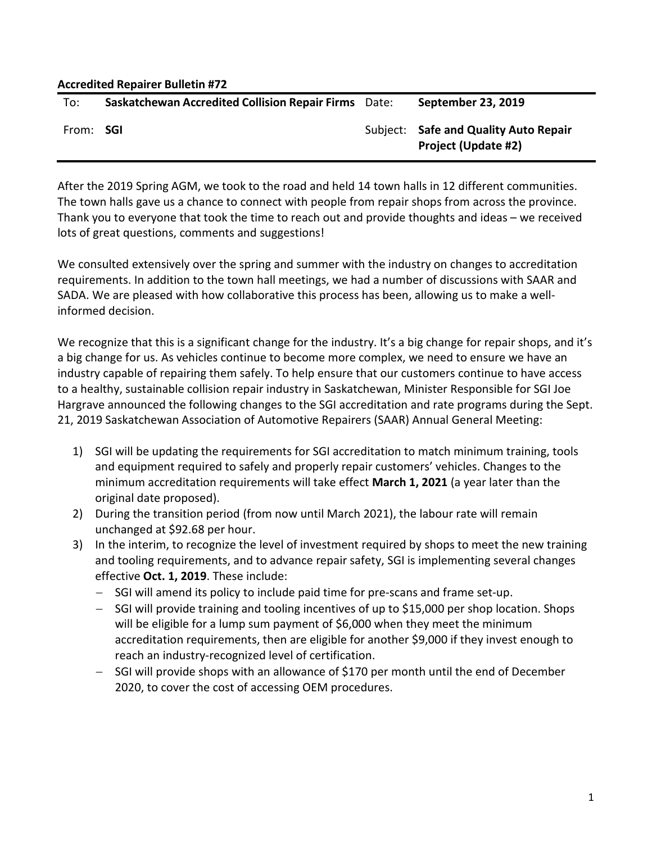| <b>Accredited Repairer Bulletin #72</b> |                                                             |  |                                                                     |  |  |
|-----------------------------------------|-------------------------------------------------------------|--|---------------------------------------------------------------------|--|--|
| To:                                     | <b>Saskatchewan Accredited Collision Repair Firms</b> Date: |  | September 23, 2019                                                  |  |  |
| From: <b>SGI</b>                        |                                                             |  | Subject: Safe and Quality Auto Repair<br><b>Project (Update #2)</b> |  |  |

After the 2019 Spring AGM, we took to the road and held 14 town halls in 12 different communities. The town halls gave us a chance to connect with people from repair shops from across the province. Thank you to everyone that took the time to reach out and provide thoughts and ideas – we received lots of great questions, comments and suggestions!

We consulted extensively over the spring and summer with the industry on changes to accreditation requirements. In addition to the town hall meetings, we had a number of discussions with SAAR and SADA. We are pleased with how collaborative this process has been, allowing us to make a wellinformed decision.

We recognize that this is a significant change for the industry. It's a big change for repair shops, and it's a big change for us. As vehicles continue to become more complex, we need to ensure we have an industry capable of repairing them safely. To help ensure that our customers continue to have access to a healthy, sustainable collision repair industry in Saskatchewan, Minister Responsible for SGI Joe Hargrave announced the following changes to the SGI accreditation and rate programs during the Sept. 21, 2019 Saskatchewan Association of Automotive Repairers (SAAR) Annual General Meeting:

- 1) SGI will be updating the requirements for SGI accreditation to match minimum training, tools and equipment required to safely and properly repair customers' vehicles. Changes to the minimum accreditation requirements will take effect **March 1, 2021** (a year later than the original date proposed).
- 2) During the transition period (from now until March 2021), the labour rate will remain unchanged at \$92.68 per hour.
- 3) In the interim, to recognize the level of investment required by shops to meet the new training and tooling requirements, and to advance repair safety, SGI is implementing several changes effective **Oct. 1, 2019**. These include:
	- − SGI will amend its policy to include paid time for pre-scans and frame set-up.
	- − SGI will provide training and tooling incentives of up to \$15,000 per shop location. Shops will be eligible for a lump sum payment of \$6,000 when they meet the minimum accreditation requirements, then are eligible for another \$9,000 if they invest enough to reach an industry-recognized level of certification.
	- − SGI will provide shops with an allowance of \$170 per month until the end of December 2020, to cover the cost of accessing OEM procedures.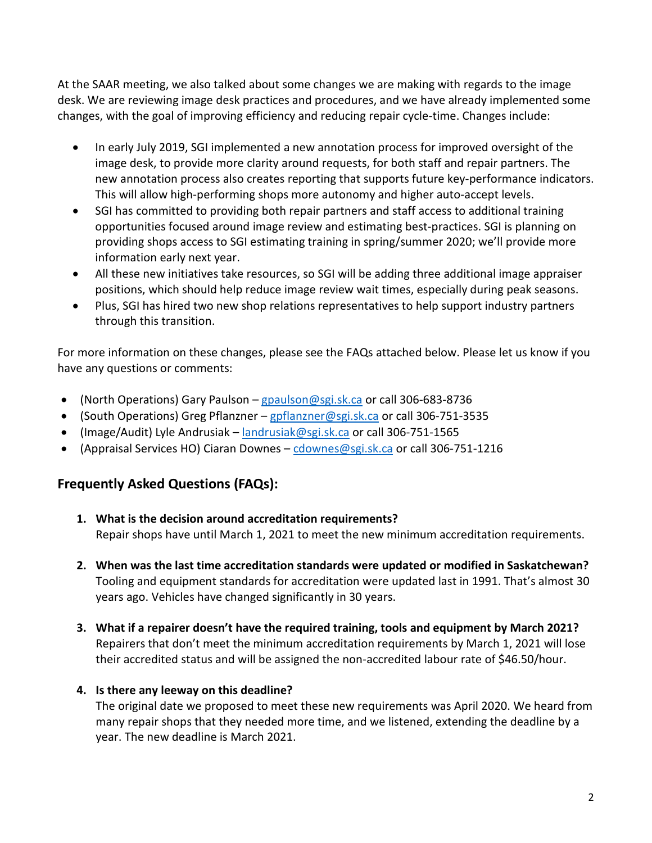At the SAAR meeting, we also talked about some changes we are making with regards to the image desk. We are reviewing image desk practices and procedures, and we have already implemented some changes, with the goal of improving efficiency and reducing repair cycle-time. Changes include:

- In early July 2019, SGI implemented a new annotation process for improved oversight of the image desk, to provide more clarity around requests, for both staff and repair partners. The new annotation process also creates reporting that supports future key-performance indicators. This will allow high-performing shops more autonomy and higher auto-accept levels.
- SGI has committed to providing both repair partners and staff access to additional training opportunities focused around image review and estimating best-practices. SGI is planning on providing shops access to SGI estimating training in spring/summer 2020; we'll provide more information early next year.
- All these new initiatives take resources, so SGI will be adding three additional image appraiser positions, which should help reduce image review wait times, especially during peak seasons.
- Plus, SGI has hired two new shop relations representatives to help support industry partners through this transition.

For more information on these changes, please see the FAQs attached below. Please let us know if you have any questions or comments:

- (North Operations) Gary Paulson [gpaulson@sgi.sk.ca](mailto:gpaulson@sgi.sk.ca) or call 306-683-8736
- (South Operations) Greg Pflanzner [gpflanzner@sgi.sk.ca](mailto:gpflanzner@sgi.sk.ca) or call 306-751-3535
- (Image/Audit) Lyle Andrusiak [landrusiak@sgi.sk.ca](mailto:landrusiak@sgi.sk.ca) or call 306-751-1565
- (Appraisal Services HO) Ciaran Downes [cdownes@sgi.sk.ca](mailto:cdownes@sgi.sk.ca) or call 306-751-1216

# **Frequently Asked Questions (FAQs):**

- **1. What is the decision around accreditation requirements?** Repair shops have until March 1, 2021 to meet the new minimum accreditation requirements.
- **2. When was the last time accreditation standards were updated or modified in Saskatchewan?** Tooling and equipment standards for accreditation were updated last in 1991. That's almost 30 years ago. Vehicles have changed significantly in 30 years.
- **3. What if a repairer doesn't have the required training, tools and equipment by March 2021?**  Repairers that don't meet the minimum accreditation requirements by March 1, 2021 will lose their accredited status and will be assigned the non-accredited labour rate of \$46.50/hour.

# **4. Is there any leeway on this deadline?**

The original date we proposed to meet these new requirements was April 2020. We heard from many repair shops that they needed more time, and we listened, extending the deadline by a year. The new deadline is March 2021.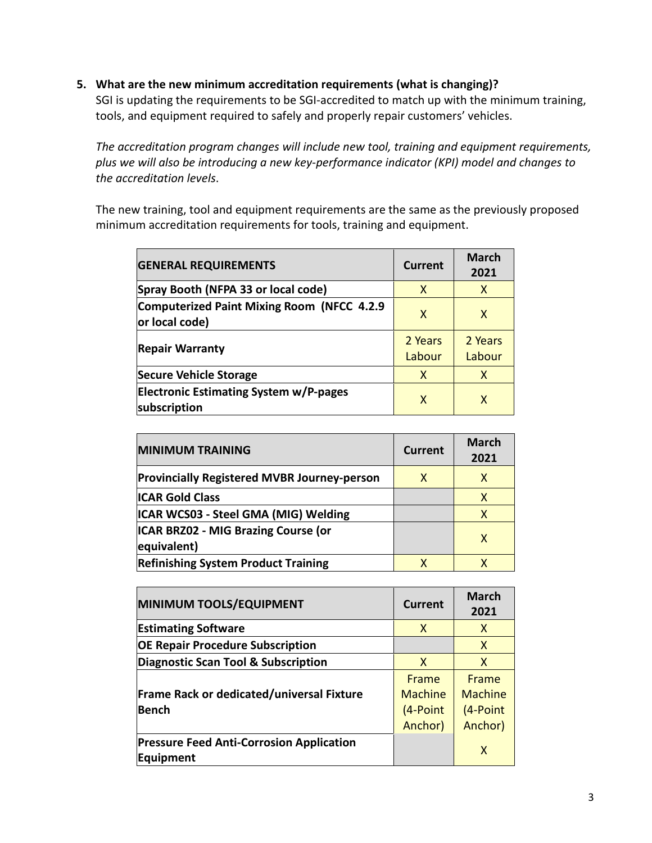#### **5. What are the new minimum accreditation requirements (what is changing)?**

SGI is updating the requirements to be SGI-accredited to match up with the minimum training, tools, and equipment required to safely and properly repair customers' vehicles.

*The accreditation program changes will include new tool, training and equipment requirements, plus we will also be introducing a new key-performance indicator (KPI) model and changes to the accreditation levels*.

The new training, tool and equipment requirements are the same as the previously proposed minimum accreditation requirements for tools, training and equipment.

| <b>GENERAL REQUIREMENTS</b>                                   | <b>Current</b>    | <b>March</b><br>2021 |
|---------------------------------------------------------------|-------------------|----------------------|
| Spray Booth (NFPA 33 or local code)                           | X                 | X                    |
| Computerized Paint Mixing Room (NFCC 4.2.9<br>or local code)  | X                 | X                    |
| <b>Repair Warranty</b>                                        | 2 Years<br>Labour | 2 Years<br>Labour    |
| <b>Secure Vehicle Storage</b>                                 | X                 | X                    |
| <b>Electronic Estimating System w/P-pages</b><br>subscription | X                 | X                    |

| <b>MINIMUM TRAINING</b>                                   | Current | <b>March</b><br>2021 |
|-----------------------------------------------------------|---------|----------------------|
| <b>Provincially Registered MVBR Journey-person</b>        | X       | x                    |
| <b>ICAR Gold Class</b>                                    |         | x                    |
| ICAR WCS03 - Steel GMA (MIG) Welding                      |         | X                    |
| <b>ICAR BRZ02 - MIG Brazing Course (or</b><br>equivalent) |         | x                    |
| <b>Refinishing System Product Training</b>                | x       |                      |

| MINIMUM TOOLS/EQUIPMENT                                      | <b>Current</b>                                 | <b>March</b><br>2021                                  |
|--------------------------------------------------------------|------------------------------------------------|-------------------------------------------------------|
| <b>Estimating Software</b>                                   | X                                              | X                                                     |
| <b>OE Repair Procedure Subscription</b>                      |                                                | X                                                     |
| Diagnostic Scan Tool & Subscription                          | X                                              | X                                                     |
| <b>Frame Rack or dedicated/universal Fixture</b><br>Bench    | Frame<br><b>Machine</b><br>(4-Point<br>Anchor) | <b>Frame</b><br><b>Machine</b><br>(4-Point<br>Anchor) |
| <b>Pressure Feed Anti-Corrosion Application</b><br>Equipment |                                                | X                                                     |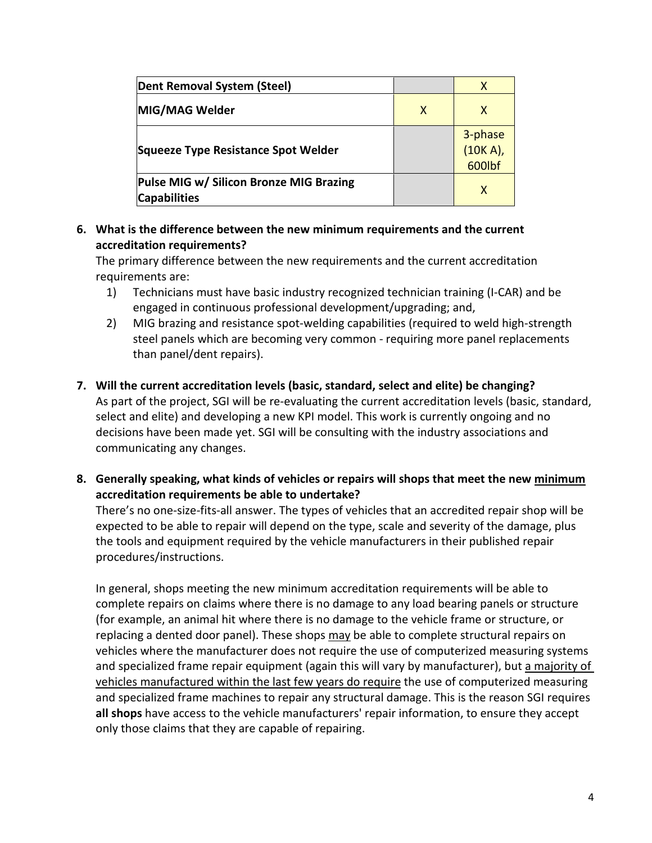| Dent Removal System (Steel)                                    |   |                               |
|----------------------------------------------------------------|---|-------------------------------|
| MIG/MAG Welder                                                 | X | x                             |
| Squeeze Type Resistance Spot Welder                            |   | 3-phase<br>(10K A),<br>600lbf |
| Pulse MIG w/ Silicon Bronze MIG Brazing<br><b>Capabilities</b> |   | X                             |

### **6. What is the difference between the new minimum requirements and the current accreditation requirements?**

The primary difference between the new requirements and the current accreditation requirements are:

- 1) Technicians must have basic industry recognized technician training (I-CAR) and be engaged in continuous professional development/upgrading; and,
- 2) MIG brazing and resistance spot-welding capabilities (required to weld high-strength steel panels which are becoming very common - requiring more panel replacements than panel/dent repairs).
- **7. Will the current accreditation levels (basic, standard, select and elite) be changing?** As part of the project, SGI will be re-evaluating the current accreditation levels (basic, standard, select and elite) and developing a new KPI model. This work is currently ongoing and no decisions have been made yet. SGI will be consulting with the industry associations and communicating any changes.
- **8. Generally speaking, what kinds of vehicles or repairs will shops that meet the new minimum accreditation requirements be able to undertake?**

There's no one-size-fits-all answer. The types of vehicles that an accredited repair shop will be expected to be able to repair will depend on the type, scale and severity of the damage, plus the tools and equipment required by the vehicle manufacturers in their published repair procedures/instructions.

In general, shops meeting the new minimum accreditation requirements will be able to complete repairs on claims where there is no damage to any load bearing panels or structure (for example, an animal hit where there is no damage to the vehicle frame or structure, or replacing a dented door panel). These shops may be able to complete structural repairs on vehicles where the manufacturer does not require the use of computerized measuring systems and specialized frame repair equipment (again this will vary by manufacturer), but a majority of vehicles manufactured within the last few years do require the use of computerized measuring and specialized frame machines to repair any structural damage. This is the reason SGI requires **all shops** have access to the vehicle manufacturers' repair information, to ensure they accept only those claims that they are capable of repairing.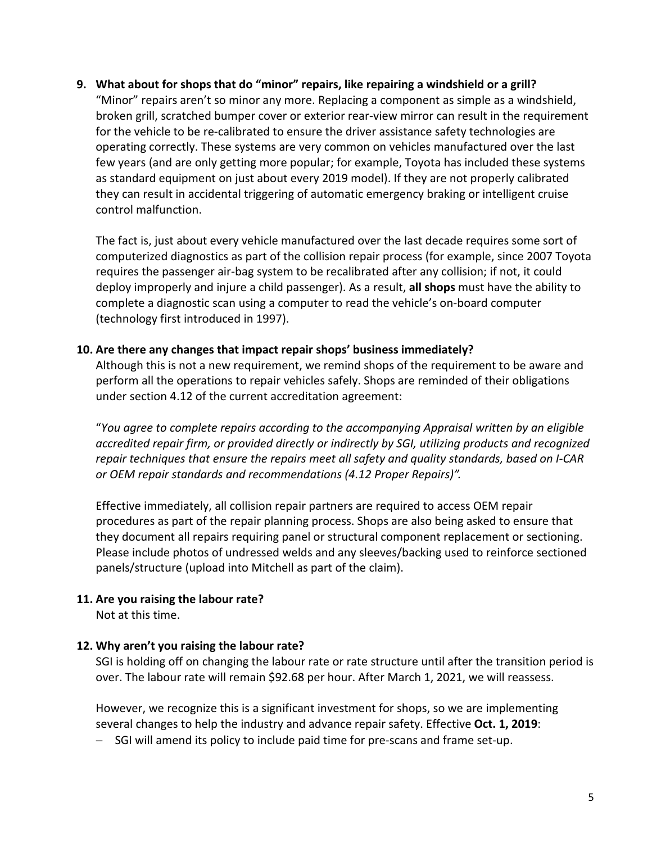**9. What about for shops that do "minor" repairs, like repairing a windshield or a grill?**

"Minor" repairs aren't so minor any more. Replacing a component as simple as a windshield, broken grill, scratched bumper cover or exterior rear-view mirror can result in the requirement for the vehicle to be re-calibrated to ensure the driver assistance safety technologies are operating correctly. These systems are very common on vehicles manufactured over the last few years (and are only getting more popular; for example, Toyota has included these systems as standard equipment on just about every 2019 model). If they are not properly calibrated they can result in accidental triggering of automatic emergency braking or intelligent cruise control malfunction.

The fact is, just about every vehicle manufactured over the last decade requires some sort of computerized diagnostics as part of the collision repair process (for example, since 2007 Toyota requires the passenger air-bag system to be recalibrated after any collision; if not, it could deploy improperly and injure a child passenger). As a result, **all shops** must have the ability to complete a diagnostic scan using a computer to read the vehicle's on-board computer (technology first introduced in 1997).

#### **10. Are there any changes that impact repair shops' business immediately?**

Although this is not a new requirement, we remind shops of the requirement to be aware and perform all the operations to repair vehicles safely. Shops are reminded of their obligations under section 4.12 of the current accreditation agreement:

"*You agree to complete repairs according to the accompanying Appraisal written by an eligible accredited repair firm, or provided directly or indirectly by SGI, utilizing products and recognized repair techniques that ensure the repairs meet all safety and quality standards, based on I-CAR or OEM repair standards and recommendations (4.12 Proper Repairs)".* 

Effective immediately, all collision repair partners are required to access OEM repair procedures as part of the repair planning process. Shops are also being asked to ensure that they document all repairs requiring panel or structural component replacement or sectioning. Please include photos of undressed welds and any sleeves/backing used to reinforce sectioned panels/structure (upload into Mitchell as part of the claim).

### **11. Are you raising the labour rate?**

Not at this time.

### **12. Why aren't you raising the labour rate?**

SGI is holding off on changing the labour rate or rate structure until after the transition period is over. The labour rate will remain \$92.68 per hour. After March 1, 2021, we will reassess.

However, we recognize this is a significant investment for shops, so we are implementing several changes to help the industry and advance repair safety. Effective **Oct. 1, 2019**:

− SGI will amend its policy to include paid time for pre-scans and frame set-up.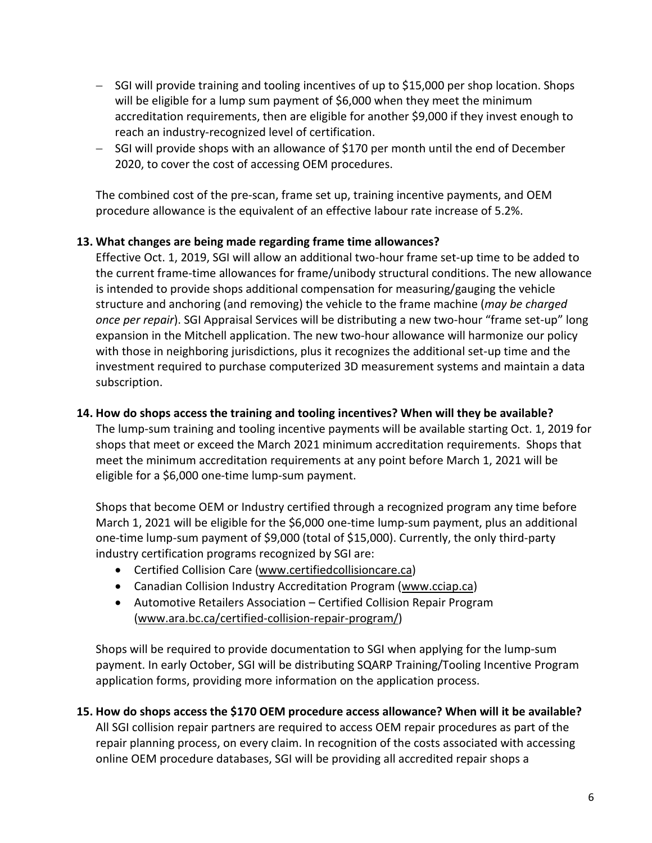- − SGI will provide training and tooling incentives of up to \$15,000 per shop location. Shops will be eligible for a lump sum payment of \$6,000 when they meet the minimum accreditation requirements, then are eligible for another \$9,000 if they invest enough to reach an industry-recognized level of certification.
- − SGI will provide shops with an allowance of \$170 per month until the end of December 2020, to cover the cost of accessing OEM procedures.

The combined cost of the pre-scan, frame set up, training incentive payments, and OEM procedure allowance is the equivalent of an effective labour rate increase of 5.2%.

### **13. What changes are being made regarding frame time allowances?**

Effective Oct. 1, 2019, SGI will allow an additional two-hour frame set-up time to be added to the current frame-time allowances for frame/unibody structural conditions. The new allowance is intended to provide shops additional compensation for measuring/gauging the vehicle structure and anchoring (and removing) the vehicle to the frame machine (*may be charged once per repair*). SGI Appraisal Services will be distributing a new two-hour "frame set-up" long expansion in the Mitchell application. The new two-hour allowance will harmonize our policy with those in neighboring jurisdictions, plus it recognizes the additional set-up time and the investment required to purchase computerized 3D measurement systems and maintain a data subscription.

#### **14. How do shops access the training and tooling incentives? When will they be available?**

The lump-sum training and tooling incentive payments will be available starting Oct. 1, 2019 for shops that meet or exceed the March 2021 minimum accreditation requirements. Shops that meet the minimum accreditation requirements at any point before March 1, 2021 will be eligible for a \$6,000 one-time lump-sum payment.

Shops that become OEM or Industry certified through a recognized program any time before March 1, 2021 will be eligible for the \$6,000 one-time lump-sum payment, plus an additional one-time lump-sum payment of \$9,000 (total of \$15,000). Currently, the only third-party industry certification programs recognized by SGI are:

- Certified Collision Care [\(www.certifiedcollisioncare.ca\)](http://www.certifiedcollisioncare.ca/)
- Canadian Collision Industry Accreditation Program [\(www.cciap.ca\)](http://www.cciap.ca/)
- Automotive Retailers Association Certified Collision Repair Program [\(www.ara.bc.ca/certified-collision-repair-program/\)](http://www.ara.bc.ca/certified-collision-repair-program/)

Shops will be required to provide documentation to SGI when applying for the lump-sum payment. In early October, SGI will be distributing SQARP Training/Tooling Incentive Program application forms, providing more information on the application process.

# **15. How do shops access the \$170 OEM procedure access allowance? When will it be available?** All SGI collision repair partners are required to access OEM repair procedures as part of the repair planning process, on every claim. In recognition of the costs associated with accessing online OEM procedure databases, SGI will be providing all accredited repair shops a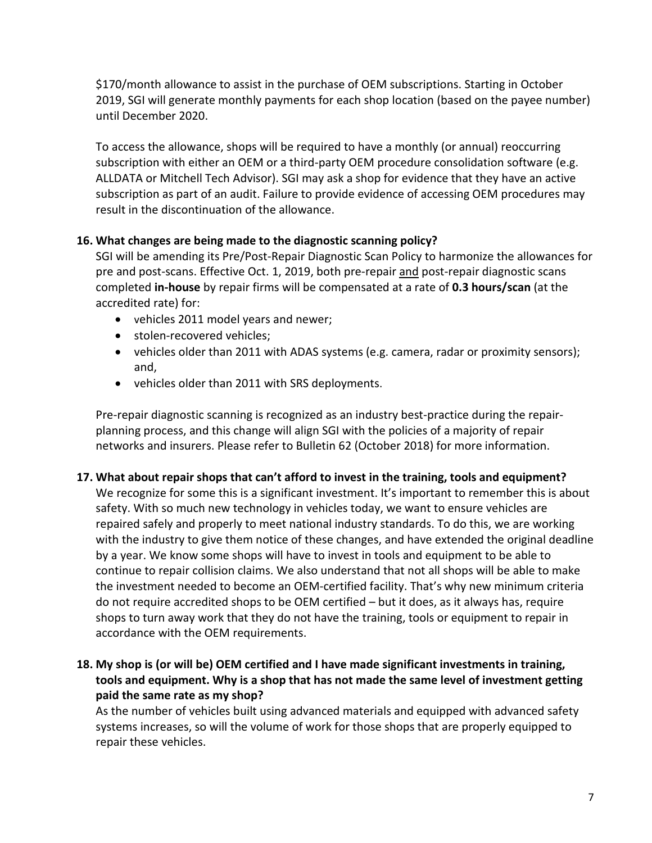\$170/month allowance to assist in the purchase of OEM subscriptions. Starting in October 2019, SGI will generate monthly payments for each shop location (based on the payee number) until December 2020.

To access the allowance, shops will be required to have a monthly (or annual) reoccurring subscription with either an OEM or a third-party OEM procedure consolidation software (e.g. ALLDATA or Mitchell Tech Advisor). SGI may ask a shop for evidence that they have an active subscription as part of an audit. Failure to provide evidence of accessing OEM procedures may result in the discontinuation of the allowance.

### **16. What changes are being made to the diagnostic scanning policy?**

SGI will be amending its Pre/Post-Repair Diagnostic Scan Policy to harmonize the allowances for pre and post-scans. Effective Oct. 1, 2019, both pre-repair and post-repair diagnostic scans completed **in-house** by repair firms will be compensated at a rate of **0.3 hours/scan** (at the accredited rate) for:

- vehicles 2011 model years and newer;
- stolen-recovered vehicles;
- vehicles older than 2011 with ADAS systems (e.g. camera, radar or proximity sensors); and,
- vehicles older than 2011 with SRS deployments.

Pre-repair diagnostic scanning is recognized as an industry best-practice during the repairplanning process, and this change will align SGI with the policies of a majority of repair networks and insurers. Please refer to Bulletin 62 (October 2018) for more information.

# **17. What about repair shops that can't afford to invest in the training, tools and equipment?**

We recognize for some this is a significant investment. It's important to remember this is about safety. With so much new technology in vehicles today, we want to ensure vehicles are repaired safely and properly to meet national industry standards. To do this, we are working with the industry to give them notice of these changes, and have extended the original deadline by a year. We know some shops will have to invest in tools and equipment to be able to continue to repair collision claims. We also understand that not all shops will be able to make the investment needed to become an OEM-certified facility. That's why new minimum criteria do not require accredited shops to be OEM certified – but it does, as it always has, require shops to turn away work that they do not have the training, tools or equipment to repair in accordance with the OEM requirements.

# **18. My shop is (or will be) OEM certified and I have made significant investments in training, tools and equipment. Why is a shop that has not made the same level of investment getting paid the same rate as my shop?**

As the number of vehicles built using advanced materials and equipped with advanced safety systems increases, so will the volume of work for those shops that are properly equipped to repair these vehicles.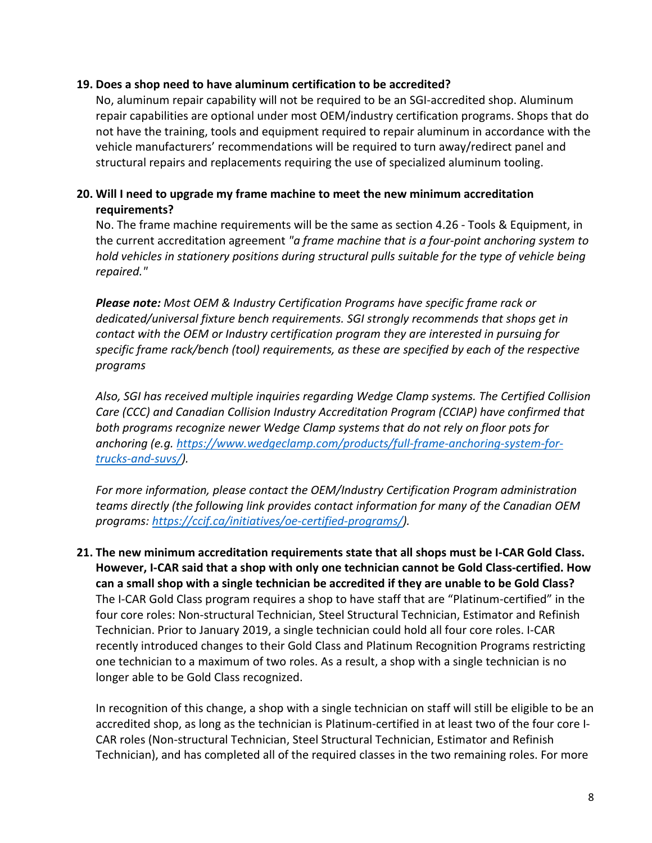#### **19. Does a shop need to have aluminum certification to be accredited?**

No, aluminum repair capability will not be required to be an SGI-accredited shop. Aluminum repair capabilities are optional under most OEM/industry certification programs. Shops that do not have the training, tools and equipment required to repair aluminum in accordance with the vehicle manufacturers' recommendations will be required to turn away/redirect panel and structural repairs and replacements requiring the use of specialized aluminum tooling.

# **20. Will I need to upgrade my frame machine to meet the new minimum accreditation requirements?**

No. The frame machine requirements will be the same as section 4.26 - Tools & Equipment, in the current accreditation agreement *"a frame machine that is a four-point anchoring system to hold vehicles in stationery positions during structural pulls suitable for the type of vehicle being repaired."*

*Please note: Most OEM & Industry Certification Programs have specific frame rack or dedicated/universal fixture bench requirements. SGI strongly recommends that shops get in contact with the OEM or Industry certification program they are interested in pursuing for specific frame rack/bench (tool) requirements, as these are specified by each of the respective programs* 

*Also, SGI has received multiple inquiries regarding Wedge Clamp systems. The Certified Collision Care (CCC) and Canadian Collision Industry Accreditation Program (CCIAP) have confirmed that both programs recognize newer Wedge Clamp systems that do not rely on floor pots for anchoring (e.g. [https://www.wedgeclamp.com/products/full-frame-anchoring-system-for](https://www.wedgeclamp.com/products/full-frame-anchoring-system-for-trucks-and-suvs/)[trucks-and-suvs/\)](https://www.wedgeclamp.com/products/full-frame-anchoring-system-for-trucks-and-suvs/).* 

*For more information, please contact the OEM/Industry Certification Program administration teams directly (the following link provides contact information for many of the Canadian OEM programs: [https://ccif.ca/initiatives/oe-certified-programs/\)](https://ccif.ca/initiatives/oe-certified-programs/).* 

**21. The new minimum accreditation requirements state that all shops must be I-CAR Gold Class. However, I-CAR said that a shop with only one technician cannot be Gold Class-certified. How can a small shop with a single technician be accredited if they are unable to be Gold Class?** The I-CAR Gold Class program requires a shop to have staff that are "Platinum-certified" in the four core roles: Non-structural Technician, Steel Structural Technician, Estimator and Refinish Technician. Prior to January 2019, a single technician could hold all four core roles. I-CAR recently introduced changes to their Gold Class and Platinum Recognition Programs restricting one technician to a maximum of two roles. As a result, a shop with a single technician is no longer able to be Gold Class recognized.

In recognition of this change, a shop with a single technician on staff will still be eligible to be an accredited shop, as long as the technician is Platinum-certified in at least two of the four core I-CAR roles (Non-structural Technician, Steel Structural Technician, Estimator and Refinish Technician), and has completed all of the required classes in the two remaining roles. For more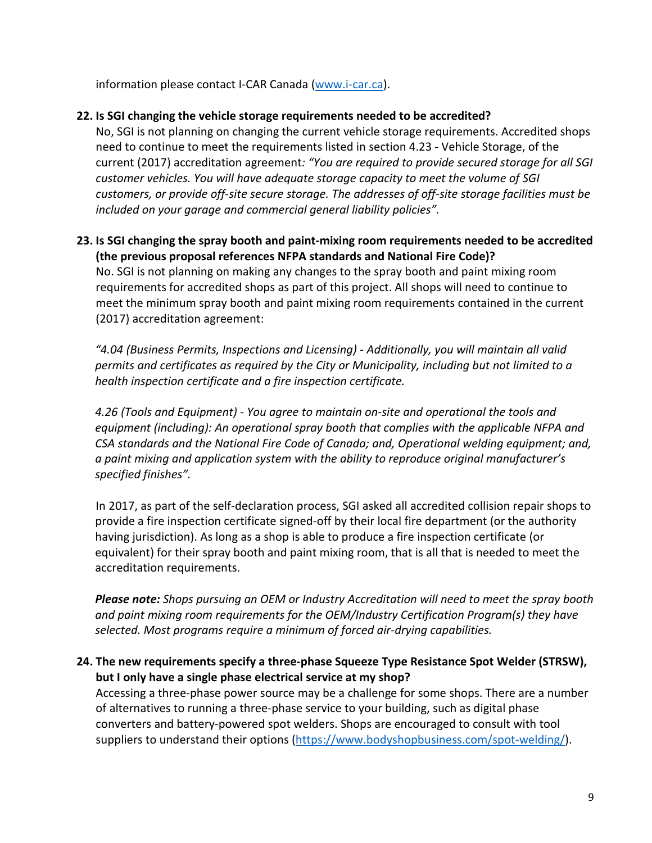information please contact I-CAR Canada [\(www.i-car.ca\)](http://www.i-car.ca/).

# **22. Is SGI changing the vehicle storage requirements needed to be accredited?**

No, SGI is not planning on changing the current vehicle storage requirements. Accredited shops need to continue to meet the requirements listed in section 4.23 - Vehicle Storage, of the current (2017) accreditation agreement*: "You are required to provide secured storage for all SGI customer vehicles. You will have adequate storage capacity to meet the volume of SGI customers, or provide off-site secure storage. The addresses of off-site storage facilities must be included on your garage and commercial general liability policies".*

# **23. Is SGI changing the spray booth and paint-mixing room requirements needed to be accredited (the previous proposal references NFPA standards and National Fire Code)?**

No. SGI is not planning on making any changes to the spray booth and paint mixing room requirements for accredited shops as part of this project. All shops will need to continue to meet the minimum spray booth and paint mixing room requirements contained in the current (2017) accreditation agreement:

*"4.04 (Business Permits, Inspections and Licensing) - Additionally, you will maintain all valid permits and certificates as required by the City or Municipality, including but not limited to a health inspection certificate and a fire inspection certificate.*

*4.26 (Tools and Equipment) - You agree to maintain on-site and operational the tools and equipment (including): An operational spray booth that complies with the applicable NFPA and CSA standards and the National Fire Code of Canada; and, Operational welding equipment; and, a paint mixing and application system with the ability to reproduce original manufacturer's specified finishes".*

In 2017, as part of the self-declaration process, SGI asked all accredited collision repair shops to provide a fire inspection certificate signed-off by their local fire department (or the authority having jurisdiction). As long as a shop is able to produce a fire inspection certificate (or equivalent) for their spray booth and paint mixing room, that is all that is needed to meet the accreditation requirements.

*Please note: Shops pursuing an OEM or Industry Accreditation will need to meet the spray booth and paint mixing room requirements for the OEM/Industry Certification Program(s) they have selected. Most programs require a minimum of forced air-drying capabilities.*

# **24. The new requirements specify a three-phase Squeeze Type Resistance Spot Welder (STRSW), but I only have a single phase electrical service at my shop?**

Accessing a three-phase power source may be a challenge for some shops. There are a number of alternatives to running a three-phase service to your building, such as digital phase converters and battery-powered spot welders. Shops are encouraged to consult with tool suppliers to understand their options [\(https://www.bodyshopbusiness.com/spot-welding/\)](https://www.bodyshopbusiness.com/spot-welding/).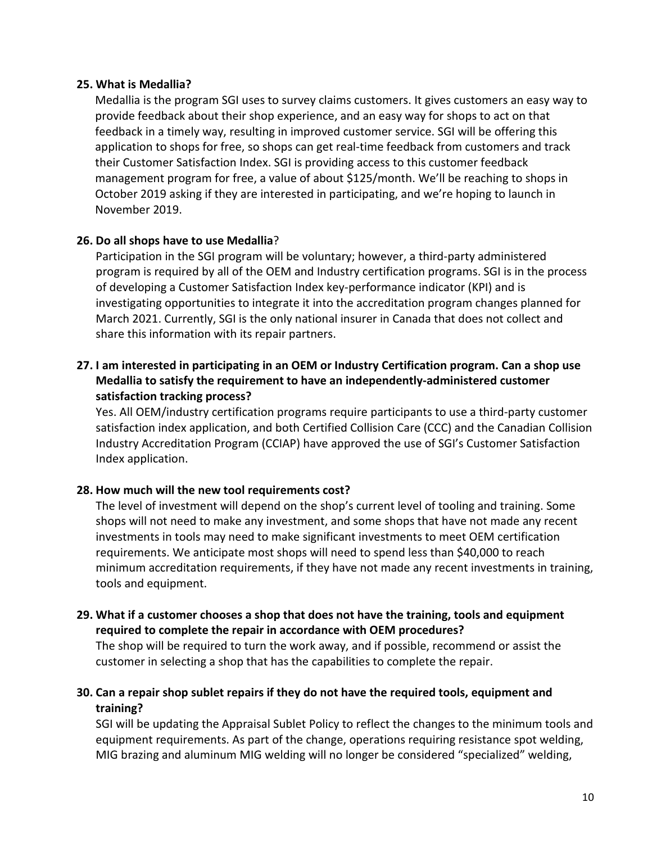#### **25. What is Medallia?**

Medallia is the program SGI uses to survey claims customers. It gives customers an easy way to provide feedback about their shop experience, and an easy way for shops to act on that feedback in a timely way, resulting in improved customer service. SGI will be offering this application to shops for free, so shops can get real-time feedback from customers and track their Customer Satisfaction Index. SGI is providing access to this customer feedback management program for free, a value of about \$125/month. We'll be reaching to shops in October 2019 asking if they are interested in participating, and we're hoping to launch in November 2019.

### **26. Do all shops have to use Medallia**?

Participation in the SGI program will be voluntary; however, a third-party administered program is required by all of the OEM and Industry certification programs. SGI is in the process of developing a Customer Satisfaction Index key-performance indicator (KPI) and is investigating opportunities to integrate it into the accreditation program changes planned for March 2021. Currently, SGI is the only national insurer in Canada that does not collect and share this information with its repair partners.

### **27. I am interested in participating in an OEM or Industry Certification program. Can a shop use Medallia to satisfy the requirement to have an independently-administered customer satisfaction tracking process?**

Yes. All OEM/industry certification programs require participants to use a third-party customer satisfaction index application, and both Certified Collision Care (CCC) and the Canadian Collision Industry Accreditation Program (CCIAP) have approved the use of SGI's Customer Satisfaction Index application.

### **28. How much will the new tool requirements cost?**

The level of investment will depend on the shop's current level of tooling and training. Some shops will not need to make any investment, and some shops that have not made any recent investments in tools may need to make significant investments to meet OEM certification requirements. We anticipate most shops will need to spend less than \$40,000 to reach minimum accreditation requirements, if they have not made any recent investments in training, tools and equipment.

### **29. What if a customer chooses a shop that does not have the training, tools and equipment required to complete the repair in accordance with OEM procedures?**

The shop will be required to turn the work away, and if possible, recommend or assist the customer in selecting a shop that has the capabilities to complete the repair.

### **30. Can a repair shop sublet repairs if they do not have the required tools, equipment and training?**

SGI will be updating the Appraisal Sublet Policy to reflect the changes to the minimum tools and equipment requirements. As part of the change, operations requiring resistance spot welding, MIG brazing and aluminum MIG welding will no longer be considered "specialized" welding,